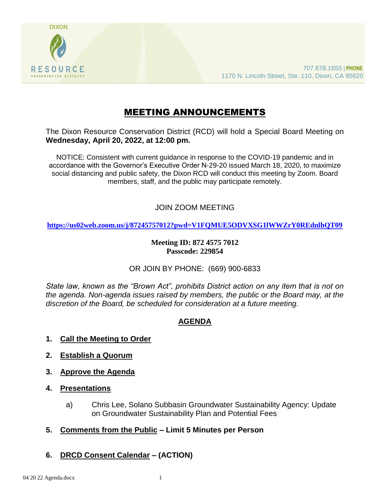

# MEETING ANNOUNCEMENTS

The Dixon Resource Conservation District (RCD) will hold a Special Board Meeting on **Wednesday, April 20, 2022, at 12:00 pm.** 

NOTICE: Consistent with current guidance in response to the COVID-19 pandemic and in accordance with the Governor's Executive Order N-29-20 issued March 18, 2020, to maximize social distancing and public safety, the Dixon RCD will conduct this meeting by Zoom. Board members, staff, and the public may participate remotely.

### JOIN ZOOM MEETING

**<https://us02web.zoom.us/j/87245757012?pwd=V1FQMUE5ODVXSG1lWWZrY0REdnlhQT09>**

#### **Meeting ID: 872 4575 7012 Passcode: 229854**

#### OR JOIN BY PHONE: (669) 900-6833

*State law, known as the "Brown Act", prohibits District action on any item that is not on the agenda. Non-agenda issues raised by members, the public or the Board may, at the discretion of the Board, be scheduled for consideration at a future meeting.*

## **AGENDA**

- **1. Call the Meeting to Order**
- **2. Establish a Quorum**
- **3. Approve the Agenda**
- **4. Presentations**
	- a) Chris Lee, Solano Subbasin Groundwater Sustainability Agency: Update on Groundwater Sustainability Plan and Potential Fees
- **5. Comments from the Public – Limit 5 Minutes per Person**
- **6. DRCD Consent Calendar – (ACTION)**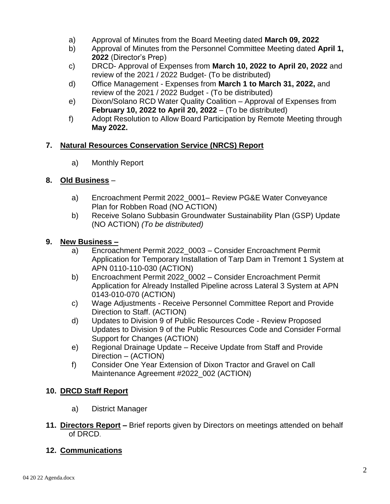- a) Approval of Minutes from the Board Meeting dated **March 09, 2022**
- b) Approval of Minutes from the Personnel Committee Meeting dated **April 1, 2022** (Director's Prep)
- c) DRCD- Approval of Expenses from **March 10, 2022 to April 20, 2022** and review of the 2021 / 2022 Budget- (To be distributed)
- d) Office Management Expenses from **March 1 to March 31, 2022,** and review of the 2021 / 2022 Budget - (To be distributed)
- e) Dixon/Solano RCD Water Quality Coalition Approval of Expenses from **February 10, 2022 to April 20, 2022** – (To be distributed)
- f) Adopt Resolution to Allow Board Participation by Remote Meeting through **May 2022.**

### **7. Natural Resources Conservation Service (NRCS) Report**

a) Monthly Report

#### **8. Old Business** –

- a) Encroachment Permit 2022\_0001– Review PG&E Water Conveyance Plan for Robben Road (NO ACTION)
- b) Receive Solano Subbasin Groundwater Sustainability Plan (GSP) Update (NO ACTION) *(To be distributed)*

#### **9. New Business –**

- a) Encroachment Permit 2022\_0003 Consider Encroachment Permit Application for Temporary Installation of Tarp Dam in Tremont 1 System at APN 0110-110-030 (ACTION)
- b) Encroachment Permit 2022\_0002 Consider Encroachment Permit Application for Already Installed Pipeline across Lateral 3 System at APN 0143-010-070 (ACTION)
- c) Wage Adjustments Receive Personnel Committee Report and Provide Direction to Staff. (ACTION)
- d) Updates to Division 9 of Public Resources Code Review Proposed Updates to Division 9 of the Public Resources Code and Consider Formal Support for Changes (ACTION)
- e) Regional Drainage Update Receive Update from Staff and Provide Direction – (ACTION)
- f) Consider One Year Extension of Dixon Tractor and Gravel on Call Maintenance Agreement #2022\_002 (ACTION)

#### **10. DRCD Staff Report**

- a) District Manager
- **11. Directors Report –** Brief reports given by Directors on meetings attended on behalf of DRCD.

#### **12. Communications**